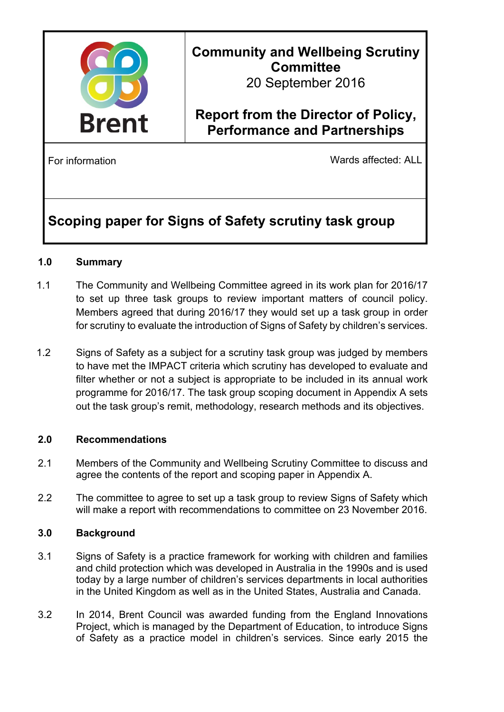

# **Community and Wellbeing Scrutiny Committee**

20 September 2016

### **Report from the Director of Policy, Performance and Partnerships**

For information **For information** Wards affected: ALL

## **Scoping paper for Signs of Safety scrutiny task group**

### **1.0 Summary**

- 1.1 The Community and Wellbeing Committee agreed in its work plan for 2016/17 to set up three task groups to review important matters of council policy. Members agreed that during 2016/17 they would set up a task group in order for scrutiny to evaluate the introduction of Signs of Safety by children's services.
- 1.2 Signs of Safety as a subject for a scrutiny task group was judged by members to have met the IMPACT criteria which scrutiny has developed to evaluate and filter whether or not a subject is appropriate to be included in its annual work programme for 2016/17. The task group scoping document in Appendix A sets out the task group's remit, methodology, research methods and its objectives.

### **2.0 Recommendations**

- 2.1 Members of the Community and Wellbeing Scrutiny Committee to discuss and agree the contents of the report and scoping paper in Appendix A.
- 2.2 The committee to agree to set up a task group to review Signs of Safety which will make a report with recommendations to committee on 23 November 2016.

### **3.0 Background**

- 3.1 Signs of Safety is a practice framework for working with children and families and child protection which was developed in Australia in the 1990s and is used today by a large number of children's services departments in local authorities in the United Kingdom as well as in the United States, Australia and Canada.
- 3.2 In 2014, Brent Council was awarded funding from the England Innovations Project, which is managed by the Department of Education, to introduce Signs of Safety as a practice model in children's services. Since early 2015 the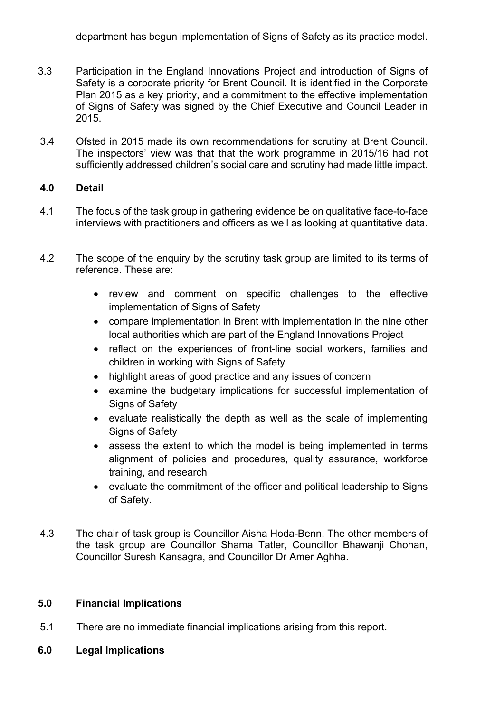- 3.3 Participation in the England Innovations Project and introduction of Signs of Safety is a corporate priority for Brent Council. It is identified in the Corporate Plan 2015 as a key priority, and a commitment to the effective implementation of Signs of Safety was signed by the Chief Executive and Council Leader in 2015.
- 3.4 Ofsted in 2015 made its own recommendations for scrutiny at Brent Council. The inspectors' view was that that the work programme in 2015/16 had not sufficiently addressed children's social care and scrutiny had made little impact.

#### **4.0 Detail**

- 4.1 The focus of the task group in gathering evidence be on qualitative face-to-face interviews with practitioners and officers as well as looking at quantitative data.
- 4.2 The scope of the enquiry by the scrutiny task group are limited to its terms of reference. These are:
	- review and comment on specific challenges to the effective implementation of Signs of Safety
	- compare implementation in Brent with implementation in the nine other local authorities which are part of the England Innovations Project
	- reflect on the experiences of front-line social workers, families and children in working with Signs of Safety
	- highlight areas of good practice and any issues of concern
	- examine the budgetary implications for successful implementation of Signs of Safety
	- evaluate realistically the depth as well as the scale of implementing Signs of Safety
	- assess the extent to which the model is being implemented in terms alignment of policies and procedures, quality assurance, workforce training, and research
	- evaluate the commitment of the officer and political leadership to Signs of Safety.
- 4.3 The chair of task group is Councillor Aisha Hoda-Benn. The other members of the task group are Councillor Shama Tatler, Councillor Bhawanji Chohan, Councillor Suresh Kansagra, and Councillor Dr Amer Aghha.

### **5.0 Financial Implications**

- 5.1 There are no immediate financial implications arising from this report.
- **6.0 Legal Implications**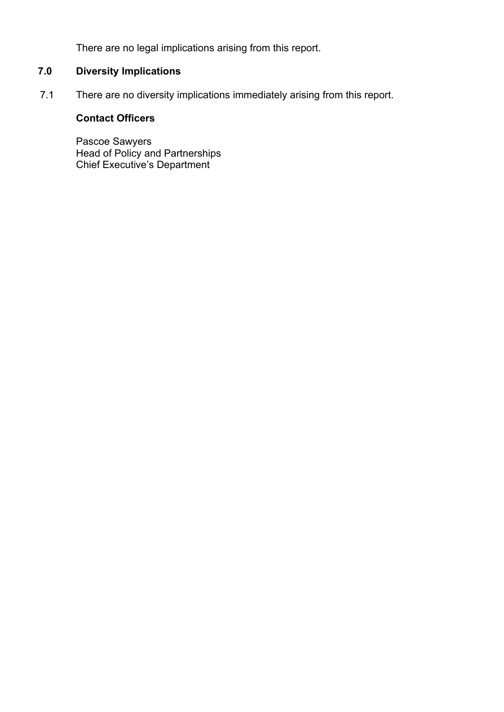There are no legal implications arising from this report.

### **7.0 Diversity Implications**

7.1 There are no diversity implications immediately arising from this report.

### **Contact Officers**

Pascoe Sawyers Head of Policy and Partnerships Chief Executive's Department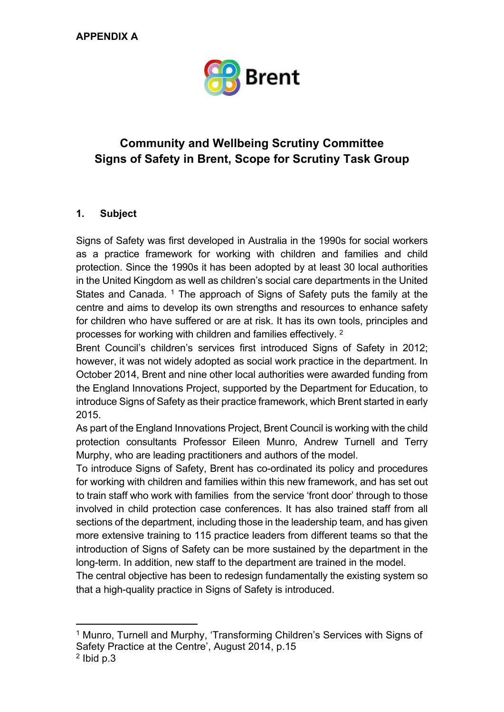

### **Community and Wellbeing Scrutiny Committee Signs of Safety in Brent, Scope for Scrutiny Task Group**

### **1. Subject**

Signs of Safety was first developed in Australia in the 1990s for social workers as a practice framework for working with children and families and child protection. Since the 1990s it has been adopted by at least 30 local authorities in the United Kingdom as well as children's social care departments in the United States and Canada. <sup>1</sup> The approach of Signs of Safety puts the family at the centre and aims to develop its own strengths and resources to enhance safety for children who have suffered or are at risk. It has its own tools, principles and processes for working with children and families effectively. 2

Brent Council's children's services first introduced Signs of Safety in 2012; however, it was not widely adopted as social work practice in the department. In October 2014, Brent and nine other local authorities were awarded funding from the England Innovations Project, supported by the Department for Education, to introduce Signs of Safety as their practice framework, which Brent started in early 2015.

As part of the England Innovations Project, Brent Council is working with the child protection consultants Professor Eileen Munro, Andrew Turnell and Terry Murphy, who are leading practitioners and authors of the model.

To introduce Signs of Safety, Brent has co-ordinated its policy and procedures for working with children and families within this new framework, and has set out to train staff who work with families from the service 'front door' through to those involved in child protection case conferences. It has also trained staff from all sections of the department, including those in the leadership team, and has given more extensive training to 115 practice leaders from different teams so that the introduction of Signs of Safety can be more sustained by the department in the long-term. In addition, new staff to the department are trained in the model.

The central objective has been to redesign fundamentally the existing system so that a high-quality practice in Signs of Safety is introduced.

<sup>1</sup> Munro, Turnell and Murphy, 'Transforming Children's Services with Signs of Safety Practice at the Centre', August 2014, p.15

 $2$  lbid p.3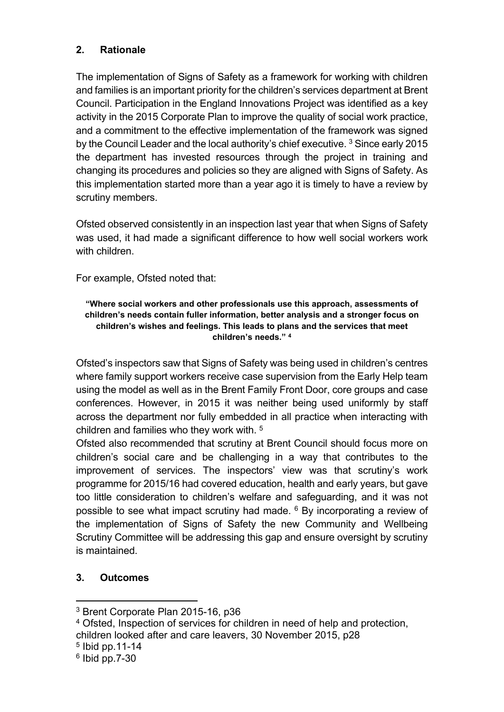### **2. Rationale**

The implementation of Signs of Safety as a framework for working with children and families is an important priority for the children's services department at Brent Council. Participation in the England Innovations Project was identified as a key activity in the 2015 Corporate Plan to improve the quality of social work practice, and a commitment to the effective implementation of the framework was signed by the Council Leader and the local authority's chief executive. <sup>3</sup> Since early 2015 the department has invested resources through the project in training and changing its procedures and policies so they are aligned with Signs of Safety. As this implementation started more than a year ago it is timely to have a review by scrutiny members.

Ofsted observed consistently in an inspection last year that when Signs of Safety was used, it had made a significant difference to how well social workers work with children.

For example, Ofsted noted that:

#### **"Where social workers and other professionals use this approach, assessments of children's needs contain fuller information, better analysis and a stronger focus on children's wishes and feelings. This leads to plans and the services that meet children's needs." <sup>4</sup>**

Ofsted's inspectors saw that Signs of Safety was being used in children's centres where family support workers receive case supervision from the Early Help team using the model as well as in the Brent Family Front Door, core groups and case conferences. However, in 2015 it was neither being used uniformly by staff across the department nor fully embedded in all practice when interacting with children and families who they work with. 5

Ofsted also recommended that scrutiny at Brent Council should focus more on children's social care and be challenging in a way that contributes to the improvement of services. The inspectors' view was that scrutiny's work programme for 2015/16 had covered education, health and early years, but gave too little consideration to children's welfare and safeguarding, and it was not possible to see what impact scrutiny had made. <sup>6</sup> By incorporating a review of the implementation of Signs of Safety the new Community and Wellbeing Scrutiny Committee will be addressing this gap and ensure oversight by scrutiny is maintained.

### **3. Outcomes**

<sup>4</sup> Ofsted, Inspection of services for children in need of help and protection, children looked after and care leavers, 30 November 2015, p28

<sup>3</sup> Brent Corporate Plan 2015-16, p36

<sup>5</sup> Ibid pp.11-14

<sup>6</sup> Ibid pp.7-30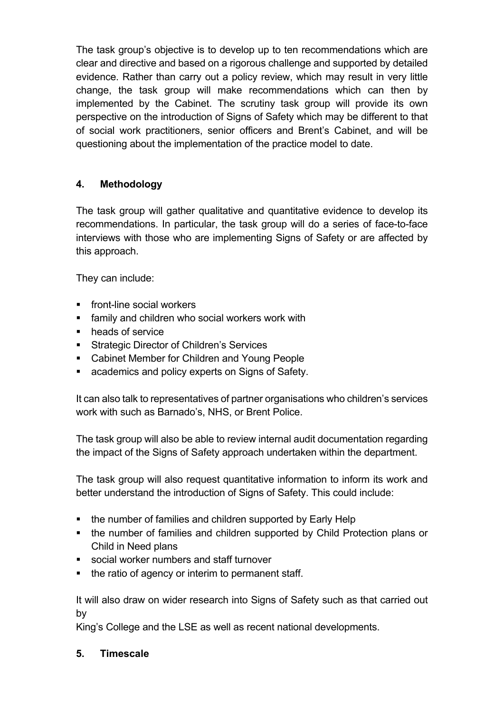The task group's objective is to develop up to ten recommendations which are clear and directive and based on a rigorous challenge and supported by detailed evidence. Rather than carry out a policy review, which may result in very little change, the task group will make recommendations which can then by implemented by the Cabinet. The scrutiny task group will provide its own perspective on the introduction of Signs of Safety which may be different to that of social work practitioners, senior officers and Brent's Cabinet, and will be questioning about the implementation of the practice model to date.

### **4. Methodology**

The task group will gather qualitative and quantitative evidence to develop its recommendations. In particular, the task group will do a series of face-to-face interviews with those who are implementing Signs of Safety or are affected by this approach.

They can include:

- **front-line social workers**
- **family and children who social workers work with**
- heads of service
- **Strategic Director of Children's Services**
- **EXEC** Cabinet Member for Children and Young People
- **EXEC** academics and policy experts on Signs of Safety.

It can also talk to representatives of partner organisations who children's services work with such as Barnado's, NHS, or Brent Police.

The task group will also be able to review internal audit documentation regarding the impact of the Signs of Safety approach undertaken within the department.

The task group will also request quantitative information to inform its work and better understand the introduction of Signs of Safety. This could include:

- the number of families and children supported by Early Help
- the number of families and children supported by Child Protection plans or Child in Need plans
- social worker numbers and staff turnover
- the ratio of agency or interim to permanent staff.

It will also draw on wider research into Signs of Safety such as that carried out by

King's College and the LSE as well as recent national developments.

### **5. Timescale**